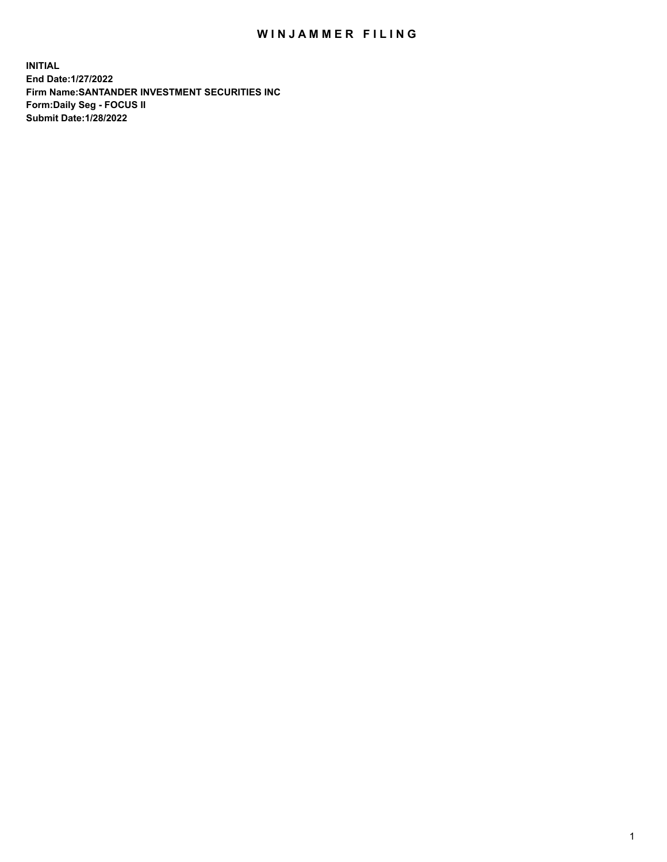## WIN JAMMER FILING

**INITIAL End Date:1/27/2022 Firm Name:SANTANDER INVESTMENT SECURITIES INC Form:Daily Seg - FOCUS II Submit Date:1/28/2022**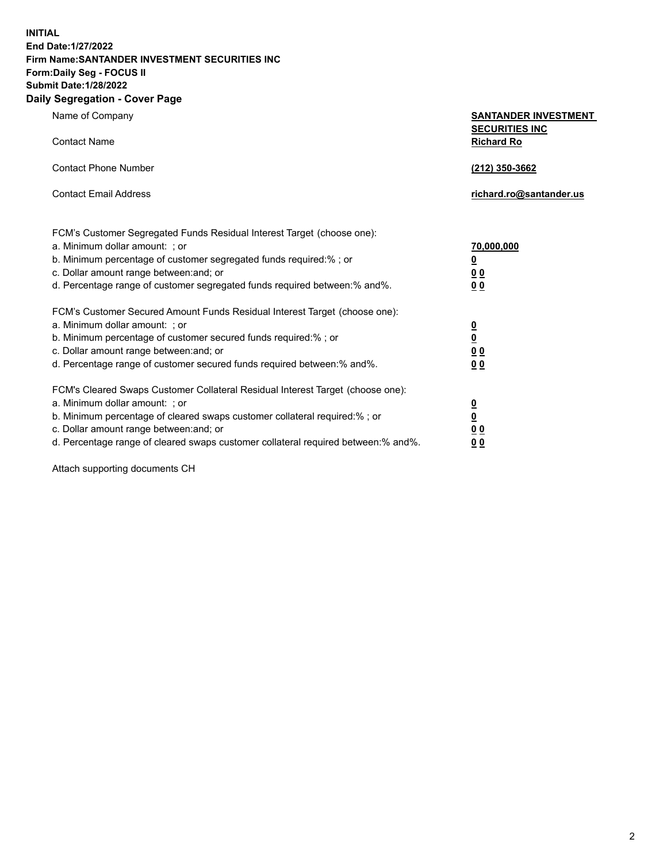**INITIAL End Date:1/27/2022 Firm Name:SANTANDER INVESTMENT SECURITIES INC Form:Daily Seg - FOCUS II Submit Date:1/28/2022 Daily Segregation - Cover Page**

Name of Company **SANTANDER INVESTMENT SECURITIES INC** Contact Name **Richard Ro** Contact Phone Number **(212) 350-3662** Contact Email Address **richard.ro@santander.us** FCM's Customer Segregated Funds Residual Interest Target (choose one): a. Minimum dollar amount: ; or **70,000,000** b. Minimum percentage of customer segregated funds required:% ; or **0** c. Dollar amount range between:and; or **0 0** d. Percentage range of customer segregated funds required between:% and%. **0 0** FCM's Customer Secured Amount Funds Residual Interest Target (choose one): a. Minimum dollar amount: ; or **0** b. Minimum percentage of customer secured funds required:% ; or **0** c. Dollar amount range between:and; or **0 0** d. Percentage range of customer secured funds required between:% and%. **0 0** FCM's Cleared Swaps Customer Collateral Residual Interest Target (choose one): a. Minimum dollar amount: ; or **0** b. Minimum percentage of cleared swaps customer collateral required:% ; or **0** c. Dollar amount range between:and; or **0 0**

d. Percentage range of cleared swaps customer collateral required between:% and%. **0 0**

Attach supporting documents CH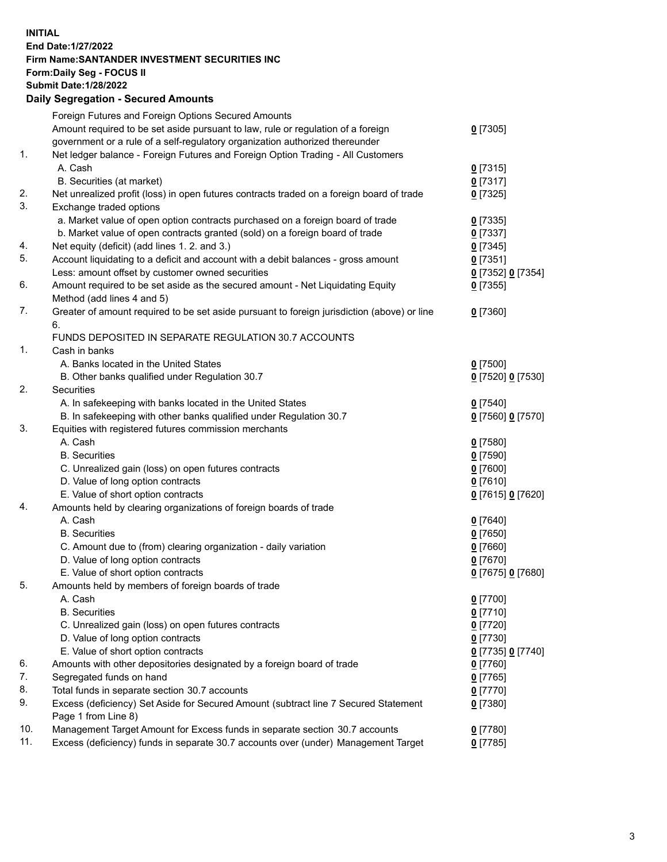## **INITIAL End Date:1/27/2022 Firm Name:SANTANDER INVESTMENT SECURITIES INC Form:Daily Seg - FOCUS II Submit Date:1/28/2022 Daily Segregation - Secured Amounts**

|     | Foreign Futures and Foreign Options Secured Amounts                                         |                   |
|-----|---------------------------------------------------------------------------------------------|-------------------|
|     | Amount required to be set aside pursuant to law, rule or regulation of a foreign            | $0$ [7305]        |
|     | government or a rule of a self-regulatory organization authorized thereunder                |                   |
| 1.  | Net ledger balance - Foreign Futures and Foreign Option Trading - All Customers             |                   |
|     | A. Cash                                                                                     | $0$ [7315]        |
|     | B. Securities (at market)                                                                   | $0$ [7317]        |
| 2.  | Net unrealized profit (loss) in open futures contracts traded on a foreign board of trade   | $0$ [7325]        |
| 3.  | Exchange traded options                                                                     |                   |
|     | a. Market value of open option contracts purchased on a foreign board of trade              | $0$ [7335]        |
|     | b. Market value of open contracts granted (sold) on a foreign board of trade                | $0$ [7337]        |
| 4.  | Net equity (deficit) (add lines 1. 2. and 3.)                                               | $0$ [7345]        |
| 5.  | Account liquidating to a deficit and account with a debit balances - gross amount           | $0$ [7351]        |
|     | Less: amount offset by customer owned securities                                            | 0 [7352] 0 [7354] |
| 6.  | Amount required to be set aside as the secured amount - Net Liquidating Equity              | $0$ [7355]        |
|     | Method (add lines 4 and 5)                                                                  |                   |
| 7.  | Greater of amount required to be set aside pursuant to foreign jurisdiction (above) or line | $0$ [7360]        |
|     | 6.                                                                                          |                   |
|     | FUNDS DEPOSITED IN SEPARATE REGULATION 30.7 ACCOUNTS                                        |                   |
| 1.  | Cash in banks                                                                               |                   |
|     | A. Banks located in the United States                                                       | $0$ [7500]        |
|     | B. Other banks qualified under Regulation 30.7                                              | 0 [7520] 0 [7530] |
| 2.  | Securities                                                                                  |                   |
|     | A. In safekeeping with banks located in the United States                                   | $0$ [7540]        |
|     | B. In safekeeping with other banks qualified under Regulation 30.7                          | 0 [7560] 0 [7570] |
| 3.  | Equities with registered futures commission merchants                                       |                   |
|     | A. Cash                                                                                     | $0$ [7580]        |
|     | <b>B.</b> Securities                                                                        | $0$ [7590]        |
|     | C. Unrealized gain (loss) on open futures contracts                                         | $0$ [7600]        |
|     | D. Value of long option contracts                                                           | $0$ [7610]        |
|     | E. Value of short option contracts                                                          | 0 [7615] 0 [7620] |
| 4.  | Amounts held by clearing organizations of foreign boards of trade                           |                   |
|     | A. Cash                                                                                     | $0$ [7640]        |
|     | <b>B.</b> Securities                                                                        | $0$ [7650]        |
|     | C. Amount due to (from) clearing organization - daily variation                             | $0$ [7660]        |
|     | D. Value of long option contracts                                                           | $0$ [7670]        |
|     | E. Value of short option contracts                                                          | 0 [7675] 0 [7680] |
| 5.  | Amounts held by members of foreign boards of trade                                          |                   |
|     | A. Cash                                                                                     | $0$ [7700]        |
|     | <b>B.</b> Securities                                                                        | $0$ [7710]        |
|     | C. Unrealized gain (loss) on open futures contracts                                         | $0$ [7720]        |
|     | D. Value of long option contracts                                                           | $0$ [7730]        |
|     | E. Value of short option contracts                                                          | 0 [7735] 0 [7740] |
| 6.  | Amounts with other depositories designated by a foreign board of trade                      | $0$ [7760]        |
| 7.  | Segregated funds on hand                                                                    | $0$ [7765]        |
| 8.  | Total funds in separate section 30.7 accounts                                               | $0$ [7770]        |
| 9.  | Excess (deficiency) Set Aside for Secured Amount (subtract line 7 Secured Statement         | $0$ [7380]        |
|     | Page 1 from Line 8)                                                                         |                   |
| 10. | Management Target Amount for Excess funds in separate section 30.7 accounts                 | $0$ [7780]        |
| 11. | Excess (deficiency) funds in separate 30.7 accounts over (under) Management Target          | $0$ [7785]        |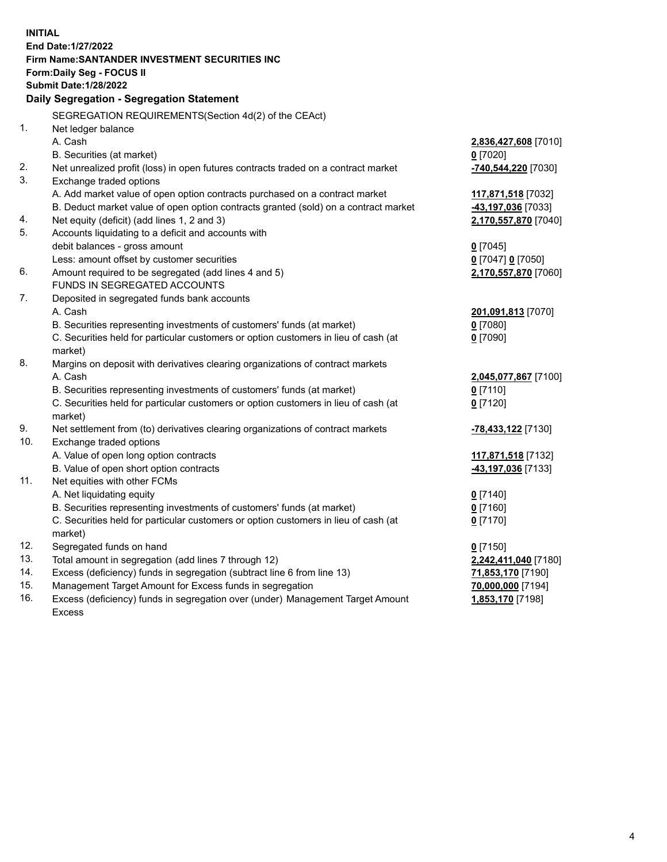| <b>INITIAL</b> |                                                                                     |                      |  |  |  |
|----------------|-------------------------------------------------------------------------------------|----------------------|--|--|--|
|                | End Date: 1/27/2022                                                                 |                      |  |  |  |
|                | Firm Name: SANTANDER INVESTMENT SECURITIES INC                                      |                      |  |  |  |
|                | Form: Daily Seg - FOCUS II                                                          |                      |  |  |  |
|                | <b>Submit Date: 1/28/2022</b>                                                       |                      |  |  |  |
|                | Daily Segregation - Segregation Statement                                           |                      |  |  |  |
|                | SEGREGATION REQUIREMENTS(Section 4d(2) of the CEAct)                                |                      |  |  |  |
| 1.             | Net ledger balance                                                                  |                      |  |  |  |
|                | A. Cash                                                                             | 2,836,427,608 [7010] |  |  |  |
|                | B. Securities (at market)                                                           | $0$ [7020]           |  |  |  |
| 2.             | Net unrealized profit (loss) in open futures contracts traded on a contract market  | -740,544,220 [7030]  |  |  |  |
| 3.             | Exchange traded options                                                             |                      |  |  |  |
|                | A. Add market value of open option contracts purchased on a contract market         | 117,871,518 [7032]   |  |  |  |
|                | B. Deduct market value of open option contracts granted (sold) on a contract market | -43,197,036 [7033]   |  |  |  |
| 4.             | Net equity (deficit) (add lines 1, 2 and 3)                                         | 2,170,557,870 [7040] |  |  |  |
| 5.             | Accounts liquidating to a deficit and accounts with                                 |                      |  |  |  |
|                | debit balances - gross amount                                                       | $0$ [7045]           |  |  |  |
|                | Less: amount offset by customer securities                                          | 0 [7047] 0 [7050]    |  |  |  |
| 6.             | Amount required to be segregated (add lines 4 and 5)                                | 2,170,557,870 [7060] |  |  |  |
|                | FUNDS IN SEGREGATED ACCOUNTS                                                        |                      |  |  |  |
| 7.             | Deposited in segregated funds bank accounts                                         |                      |  |  |  |
|                | A. Cash                                                                             | 201,091,813 [7070]   |  |  |  |
|                | B. Securities representing investments of customers' funds (at market)              | $0$ [7080]           |  |  |  |
|                | C. Securities held for particular customers or option customers in lieu of cash (at | $0$ [7090]           |  |  |  |
|                | market)                                                                             |                      |  |  |  |
| 8.             | Margins on deposit with derivatives clearing organizations of contract markets      |                      |  |  |  |
|                | A. Cash                                                                             | 2,045,077,867 [7100] |  |  |  |
|                | B. Securities representing investments of customers' funds (at market)              | $0$ [7110]           |  |  |  |
|                | C. Securities held for particular customers or option customers in lieu of cash (at | $0$ [7120]           |  |  |  |
|                | market)                                                                             |                      |  |  |  |
| 9.             | Net settlement from (to) derivatives clearing organizations of contract markets     | -78,433,122 [7130]   |  |  |  |
| 10.            | Exchange traded options                                                             |                      |  |  |  |
|                | A. Value of open long option contracts                                              | 117,871,518 [7132]   |  |  |  |
| 11.            | B. Value of open short option contracts<br>Net equities with other FCMs             | 43,197,036 [7133]    |  |  |  |
|                | A. Net liquidating equity                                                           | $0$ [7140]           |  |  |  |
|                | B. Securities representing investments of customers' funds (at market)              | $0$ [7160]           |  |  |  |
|                | C. Securities held for particular customers or option customers in lieu of cash (at | $0$ [7170]           |  |  |  |
|                | market)                                                                             |                      |  |  |  |
| 12.            | Segregated funds on hand                                                            | $0$ [7150]           |  |  |  |
| 13.            | Total amount in segregation (add lines 7 through 12)                                | 2,242,411,040 [7180] |  |  |  |
| 14.            | Excess (deficiency) funds in segregation (subtract line 6 from line 13)             | 71,853,170 [7190]    |  |  |  |
| 15.            | Management Target Amount for Excess funds in segregation                            | 70,000,000 [7194]    |  |  |  |
| 16.            | Excess (deficiency) funds in segregation over (under) Management Target Amount      | 1,853,170 [7198]     |  |  |  |
|                | <b>Excess</b>                                                                       |                      |  |  |  |